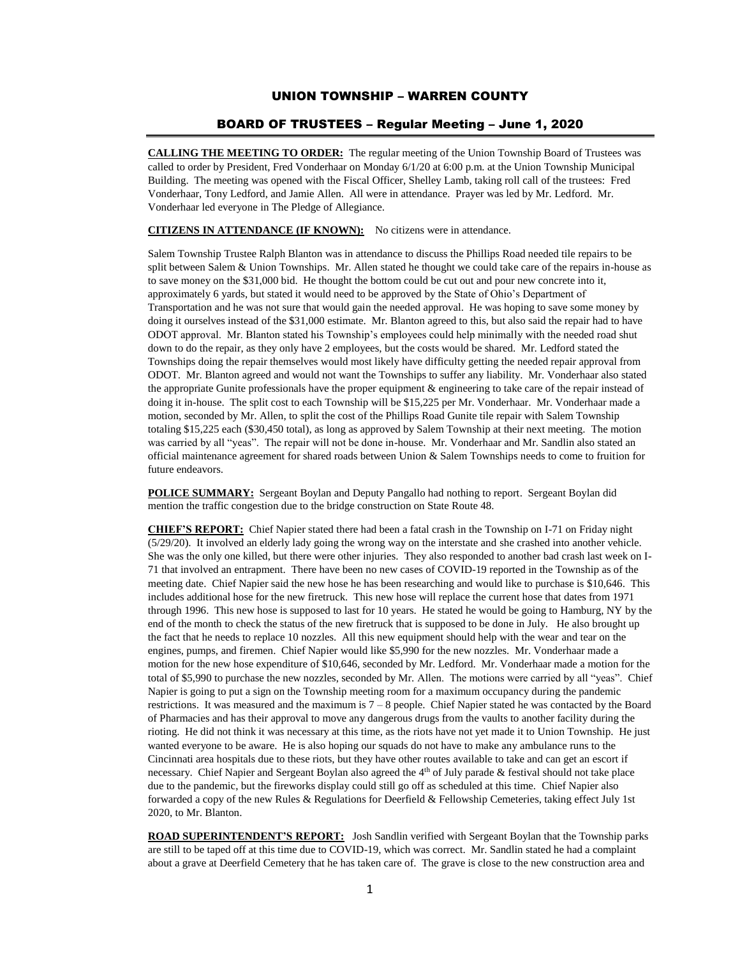## UNION TOWNSHIP – WARREN COUNTY

## BOARD OF TRUSTEES – Regular Meeting – June 1, 2020

**CALLING THE MEETING TO ORDER:** The regular meeting of the Union Township Board of Trustees was called to order by President, Fred Vonderhaar on Monday 6/1/20 at 6:00 p.m. at the Union Township Municipal Building. The meeting was opened with the Fiscal Officer, Shelley Lamb, taking roll call of the trustees: Fred Vonderhaar, Tony Ledford, and Jamie Allen. All were in attendance. Prayer was led by Mr. Ledford. Mr. Vonderhaar led everyone in The Pledge of Allegiance.

**CITIZENS IN ATTENDANCE (IF KNOWN):** No citizens were in attendance.

Salem Township Trustee Ralph Blanton was in attendance to discuss the Phillips Road needed tile repairs to be split between Salem & Union Townships. Mr. Allen stated he thought we could take care of the repairs in-house as to save money on the \$31,000 bid. He thought the bottom could be cut out and pour new concrete into it, approximately 6 yards, but stated it would need to be approved by the State of Ohio's Department of Transportation and he was not sure that would gain the needed approval. He was hoping to save some money by doing it ourselves instead of the \$31,000 estimate. Mr. Blanton agreed to this, but also said the repair had to have ODOT approval. Mr. Blanton stated his Township's employees could help minimally with the needed road shut down to do the repair, as they only have 2 employees, but the costs would be shared. Mr. Ledford stated the Townships doing the repair themselves would most likely have difficulty getting the needed repair approval from ODOT. Mr. Blanton agreed and would not want the Townships to suffer any liability. Mr. Vonderhaar also stated the appropriate Gunite professionals have the proper equipment & engineering to take care of the repair instead of doing it in-house. The split cost to each Township will be \$15,225 per Mr. Vonderhaar. Mr. Vonderhaar made a motion, seconded by Mr. Allen, to split the cost of the Phillips Road Gunite tile repair with Salem Township totaling \$15,225 each (\$30,450 total), as long as approved by Salem Township at their next meeting. The motion was carried by all "yeas". The repair will not be done in-house. Mr. Vonderhaar and Mr. Sandlin also stated an official maintenance agreement for shared roads between Union & Salem Townships needs to come to fruition for future endeavors.

**POLICE SUMMARY:** Sergeant Boylan and Deputy Pangallo had nothing to report. Sergeant Boylan did mention the traffic congestion due to the bridge construction on State Route 48.

**CHIEF'S REPORT:** Chief Napier stated there had been a fatal crash in the Township on I-71 on Friday night (5/29/20). It involved an elderly lady going the wrong way on the interstate and she crashed into another vehicle. She was the only one killed, but there were other injuries. They also responded to another bad crash last week on I-71 that involved an entrapment. There have been no new cases of COVID-19 reported in the Township as of the meeting date. Chief Napier said the new hose he has been researching and would like to purchase is \$10,646. This includes additional hose for the new firetruck. This new hose will replace the current hose that dates from 1971 through 1996. This new hose is supposed to last for 10 years. He stated he would be going to Hamburg, NY by the end of the month to check the status of the new firetruck that is supposed to be done in July. He also brought up the fact that he needs to replace 10 nozzles. All this new equipment should help with the wear and tear on the engines, pumps, and firemen. Chief Napier would like \$5,990 for the new nozzles. Mr. Vonderhaar made a motion for the new hose expenditure of \$10,646, seconded by Mr. Ledford. Mr. Vonderhaar made a motion for the total of \$5,990 to purchase the new nozzles, seconded by Mr. Allen. The motions were carried by all "yeas". Chief Napier is going to put a sign on the Township meeting room for a maximum occupancy during the pandemic restrictions. It was measured and the maximum is 7 – 8 people. Chief Napier stated he was contacted by the Board of Pharmacies and has their approval to move any dangerous drugs from the vaults to another facility during the rioting. He did not think it was necessary at this time, as the riots have not yet made it to Union Township. He just wanted everyone to be aware. He is also hoping our squads do not have to make any ambulance runs to the Cincinnati area hospitals due to these riots, but they have other routes available to take and can get an escort if necessary. Chief Napier and Sergeant Boylan also agreed the  $4<sup>th</sup>$  of July parade  $\&$  festival should not take place due to the pandemic, but the fireworks display could still go off as scheduled at this time. Chief Napier also forwarded a copy of the new Rules & Regulations for Deerfield & Fellowship Cemeteries, taking effect July 1st 2020, to Mr. Blanton.

**ROAD SUPERINTENDENT'S REPORT:** Josh Sandlin verified with Sergeant Boylan that the Township parks are still to be taped off at this time due to COVID-19, which was correct. Mr. Sandlin stated he had a complaint about a grave at Deerfield Cemetery that he has taken care of. The grave is close to the new construction area and